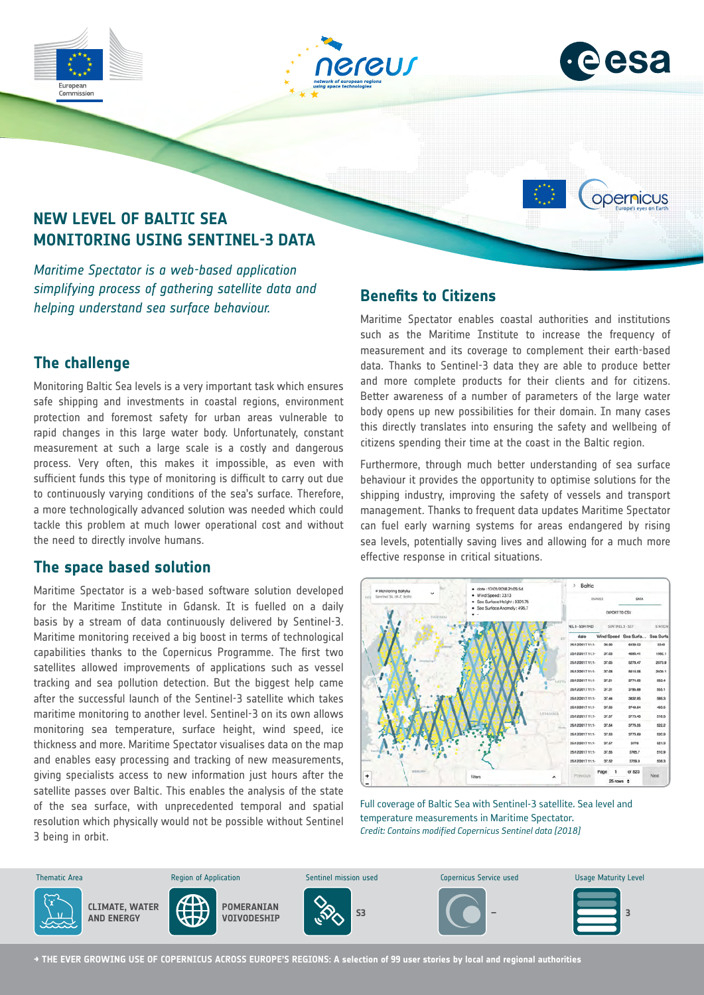





opernicus

# **NEW LEVEL OF BALTIC SEA MONITORING USING SENTINEL-3 DATA**

*Maritime Spectator is a web-based application simplifying process of gathering satellite data and helping understand sea surface behaviour.*

## **The challenge**

Monitoring Baltic Sea levels is a very important task which ensures safe shipping and investments in coastal regions, environment protection and foremost safety for urban areas vulnerable to rapid changes in this large water body. Unfortunately, constant measurement at such a large scale is a costly and dangerous process. Very often, this makes it impossible, as even with sufficient funds this type of monitoring is difficult to carry out due to continuously varying conditions of the sea's surface. Therefore, a more technologically advanced solution was needed which could tackle this problem at much lower operational cost and without the need to directly involve humans.

## **The space based solution**

Maritime Spectator is a web-based software solution developed for the Maritime Institute in Gdansk. It is fuelled on a daily basis by a stream of data continuously delivered by Sentinel-3. Maritime monitoring received a big boost in terms of technological capabilities thanks to the Copernicus Programme. The first two satellites allowed improvements of applications such as vessel tracking and sea pollution detection. But the biggest help came after the successful launch of the Sentinel-3 satellite which takes maritime monitoring to another level. Sentinel-3 on its own allows monitoring sea temperature, surface height, wind speed, ice thickness and more. Maritime Spectator visualises data on the map and enables easy processing and tracking of new measurements, giving specialists access to new information just hours after the satellite passes over Baltic. This enables the analysis of the state of the sea surface, with unprecedented temporal and spatial resolution which physically would not be possible without Sentinel 3 being in orbit.

## **Benefits to Citizens**

Maritime Spectator enables coastal authorities and institutions such as the Maritime Institute to increase the frequency of measurement and its coverage to complement their earth-based data. Thanks to Sentinel-3 data they are able to produce better and more complete products for their clients and for citizens. Better awareness of a number of parameters of the large water body opens up new possibilities for their domain. In many cases this directly translates into ensuring the safety and wellbeing of citizens spending their time at the coast in the Baltic region.

Furthermore, through much better understanding of sea surface behaviour it provides the opportunity to optimise solutions for the shipping industry, improving the safety of vessels and transport management. Thanks to frequent data updates Maritime Spectator can fuel early warning systems for areas endangered by rising sea levels, potentially saving lives and allowing for a much more effective response in critical situations.



Full coverage of Baltic Sea with Sentinel-3 satellite. Sea level and temperature measurements in Maritime Spectator. *Credit: Contains modified Copernicus Sentinel data [2018]*



**→ THE EVER GROWING USE OF COPERNICUS ACROSS EUROPE'S REGIONS: A selection of 99 user stories by local and regional authorities**